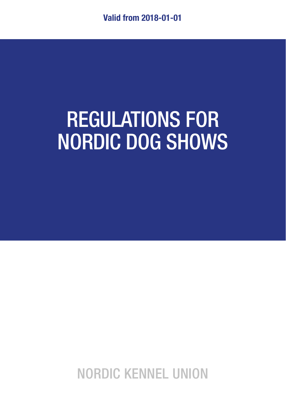# REGULATIONS FOR NORDIC DOG SHOWS

NORDIC KENNEL UNION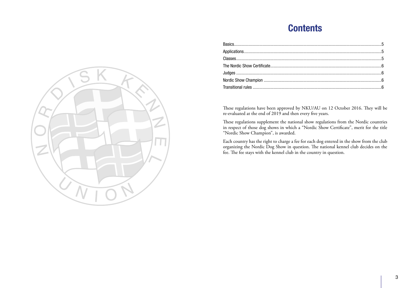## **Contents**

These regulations have been approved by NKU/AU on 12 October 2016. They will be re-evaluated at the end of 2019 and then every five years.

These regulations supplement the national show regulations from the Nordic countries in respect of those dog shows in which a "Nordic Show Certificate", merit for the title "Nordic Show Champion", is awarded.

Each country has the right to charge a fee for each dog entered in the show from the club organizing the Nordic Dog Show in question. The national kennel club decides on the fee. The fee stays with the kennel club in the country in question.

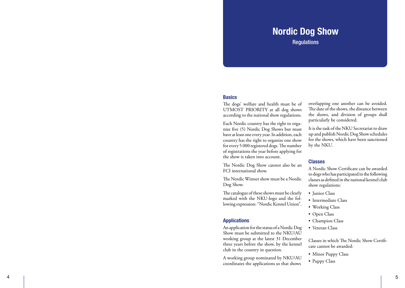### Nordic Dog Show

**Requlations** 

#### **Basics**

The dogs' welfare and health must be of UTMOST PRIORITY at all dog shows according to the national show regulations.

Each Nordic country has the right to orga nize five (5) Nordic Dog Shows but must have at least one every year. In addition, each country has the right to organize one show for every 5 000 registered dogs. The number of registrations the year before applying for the show is taken into account.

The Nordic Dog Show cannot also be an FCI international show.

The Nordic Winner show must be a Nordic Dog Show.

The catalogue of these shows must be clearly marked with the NKU-logo and the fol lowing expression: "Nordic Kennel Union".

#### Applications

An application for the status of a Nordic Dog Show must be submitted to the NKU/AU working group at the latest 31 December three years before the show, by the kennel club in the country in question.

A working group nominated by NKU/AU coordinates the applications so that shows

overlapping one another can be avoided. The date of the shows, the distance between the shows, and division of groups shall particularly be considered.

It is the task of the NKU Secretariat to draw up and publish Nordic Dog Show schedules for the shows, which have been sanctioned by the NKU.

#### Classes

A Nordic Show Certificate can be awarded to dogs who has participated in the following classes as defined in the national kennel club

- 
- show regulations:<br>• Junior Class<br>• Intermediate Class<br>• Working Class<br>• Champion Class<br>• Veteran Class
- 
- 
- 
- 

Classes in which The Nordic Show Certifi cate cannot be awarded: • Minor Puppy Class • Puppy Class

- 
- 

4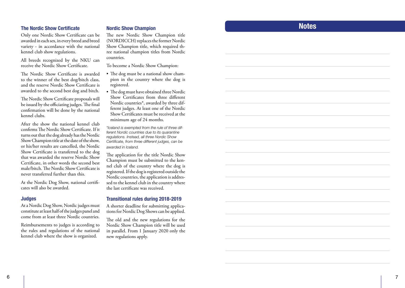#### The Nordic Show Certificate

Only one Nordic Show Certificate can be awarded in each sex, in every breed and breed variety - in accordance with the national kennel club show regulations.

All breeds recognized by the NKU can receive the Nordic Show Certificate.

The Nordic Show Certificate is awarded to the winner of the best dog/bitch class, and the reserve Nordic Show Certificate is awarded to the second best dog and bitch.

The Nordic Show Certificate proposals will be issued by the officiating judges. The final confirmation will be done by the national kennel clubs.

After the show the national kennel club confirms The Nordic Show Certificate. If it turns out that the dog already has the Nordic Show Champion title at the date of the show, or his/her results are cancelled, the Nordic Show Certificate is transferred to the dog that was awarded the reserve Nordic Show Certificate, in other words the second best male/bitch. The Nordic Show Certificate is never transferred further than this.

At the Nordic Dog Show, national certifi cates will also be awarded.

#### Judges

At a Nordic Dog Show, Nordic judges must constitute at least half of the judges panel and come from at least three Nordic countries.

Reimbursements to judges is according to the rules and regulations of the national kennel club where the show is organized.

#### Nordic Show Champion

The new Nordic Show Champion title (NORDICCH) replaces the former Nordic Show Champion title, which required th ree national champion titles from Nordic countries.

To become a Nordic Show Champion:

- The dog must be a national show cham pion in the country where the dog is registered.
- The dog must have obtained three Nordic Show Certificates from three different Nordic countries\*, awarded by three different judges. At least one of the Nordic Show Certificates must be received at the minimum age of 24 months.

*\*Iceland is exempted from the rule of three different Nordic countries due to its quarantine regulations. Instead, all three Nordic Show Certificate, from three different judges, can be awarded in Iceland.*

The application for the title Nordic Show Champion must be submitted to the ken nel club of the country where the dog is registered. If the dog is registered outside the Nordic countries, the application is addres sed to the kennel club in the country where the last certificate was received.

#### Transitional rules during 2018-2019

A shorter deadline for submitting applica tions for Nordic Dog Shows can be applied.

The old and the new regulations for the Nordic Show Champion title will be used in parallel. From 1 January 2020 only the new regulations apply.

### **Notes**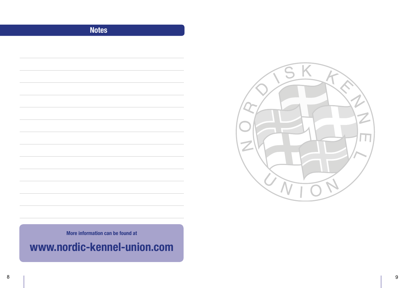### Notes



More information can be found at

www.nordic-kennel-union.com